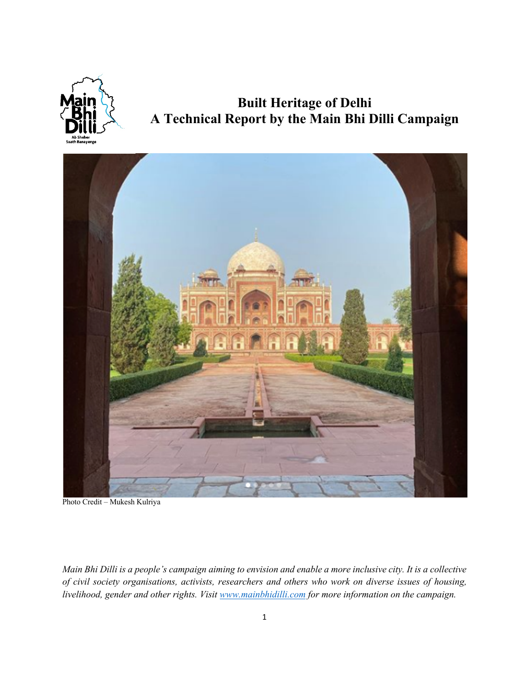

# **Built Heritage of Delhi A Technical Report by the Main Bhi Dilli Campaign**



Photo Credit – Mukesh Kulriya

*Main Bhi Dilli is a people's campaign aiming to envision and enable a more inclusive city. It is a collective of civil society organisations, activists, researchers and others who work on diverse issues of housing, livelihood, gender and other rights. Visit www.mainbhidilli.com for more information on the campaign.*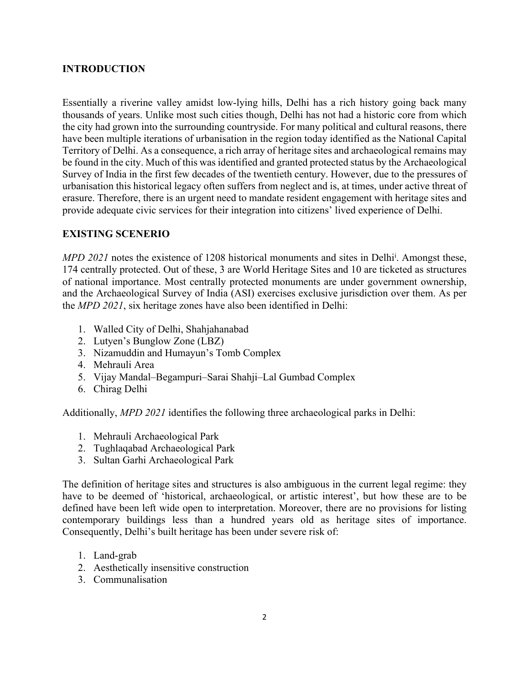### **INTRODUCTION**

Essentially a riverine valley amidst low-lying hills, Delhi has a rich history going back many thousands of years. Unlike most such cities though, Delhi has not had a historic core from which the city had grown into the surrounding countryside. For many political and cultural reasons, there have been multiple iterations of urbanisation in the region today identified as the National Capital Territory of Delhi. As a consequence, a rich array of heritage sites and archaeological remains may be found in the city. Much of this was identified and granted protected status by the Archaeological Survey of India in the first few decades of the twentieth century. However, due to the pressures of urbanisation this historical legacy often suffers from neglect and is, at times, under active threat of erasure. Therefore, there is an urgent need to mandate resident engagement with heritage sites and provide adequate civic services for their integration into citizens' lived experience of Delhi.

### **EXISTING SCENERIO**

*MPD 2021* notes the existence of 1208 historical monuments and sites in Delhi<sup>i</sup>. Amongst these, 174 centrally protected. Out of these, 3 are World Heritage Sites and 10 are ticketed as structures of national importance. Most centrally protected monuments are under government ownership, and the Archaeological Survey of India (ASI) exercises exclusive jurisdiction over them. As per the *MPD 2021*, six heritage zones have also been identified in Delhi:

- 1. Walled City of Delhi, Shahjahanabad
- 2. Lutyen's Bunglow Zone (LBZ)
- 3. Nizamuddin and Humayun's Tomb Complex
- 4. Mehrauli Area
- 5. Vijay Mandal–Begampuri–Sarai Shahji–Lal Gumbad Complex
- 6. Chirag Delhi

Additionally, *MPD 2021* identifies the following three archaeological parks in Delhi:

- 1. Mehrauli Archaeological Park
- 2. Tughlaqabad Archaeological Park
- 3. Sultan Garhi Archaeological Park

The definition of heritage sites and structures is also ambiguous in the current legal regime: they have to be deemed of 'historical, archaeological, or artistic interest', but how these are to be defined have been left wide open to interpretation. Moreover, there are no provisions for listing contemporary buildings less than a hundred years old as heritage sites of importance. Consequently, Delhi's built heritage has been under severe risk of:

- 1. Land-grab
- 2. Aesthetically insensitive construction
- 3. Communalisation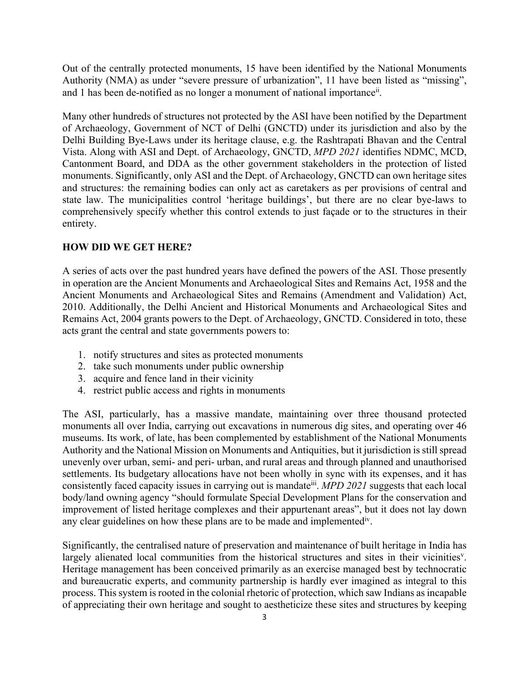Out of the centrally protected monuments, 15 have been identified by the National Monuments Authority (NMA) as under "severe pressure of urbanization", 11 have been listed as "missing", and 1 has been de-notified as no longer a monument of national importance<sup>ii</sup>.

Many other hundreds of structures not protected by the ASI have been notified by the Department of Archaeology, Government of NCT of Delhi (GNCTD) under its jurisdiction and also by the Delhi Building Bye-Laws under its heritage clause, e.g. the Rashtrapati Bhavan and the Central Vista. Along with ASI and Dept. of Archaeology, GNCTD, *MPD 2021* identifies NDMC, MCD, Cantonment Board, and DDA as the other government stakeholders in the protection of listed monuments. Significantly, only ASI and the Dept. of Archaeology, GNCTD can own heritage sites and structures: the remaining bodies can only act as caretakers as per provisions of central and state law. The municipalities control 'heritage buildings', but there are no clear bye-laws to comprehensively specify whether this control extends to just façade or to the structures in their entirety.

## **HOW DID WE GET HERE?**

A series of acts over the past hundred years have defined the powers of the ASI. Those presently in operation are the Ancient Monuments and Archaeological Sites and Remains Act, 1958 and the Ancient Monuments and Archaeological Sites and Remains (Amendment and Validation) Act, 2010. Additionally, the Delhi Ancient and Historical Monuments and Archaeological Sites and Remains Act, 2004 grants powers to the Dept. of Archaeology, GNCTD. Considered in toto, these acts grant the central and state governments powers to:

- 1. notify structures and sites as protected monuments
- 2. take such monuments under public ownership
- 3. acquire and fence land in their vicinity
- 4. restrict public access and rights in monuments

The ASI, particularly, has a massive mandate, maintaining over three thousand protected monuments all over India, carrying out excavations in numerous dig sites, and operating over 46 museums. Its work, of late, has been complemented by establishment of the National Monuments Authority and the National Mission on Monuments and Antiquities, but it jurisdiction is still spread unevenly over urban, semi- and peri- urban, and rural areas and through planned and unauthorised settlements. Its budgetary allocations have not been wholly in sync with its expenses, and it has consistently faced capacity issues in carrying out is mandateiii. *MPD 2021* suggests that each local body/land owning agency "should formulate Special Development Plans for the conservation and improvement of listed heritage complexes and their appurtenant areas", but it does not lay down any clear guidelines on how these plans are to be made and implemented<sup>iv</sup>.

Significantly, the centralised nature of preservation and maintenance of built heritage in India has largely alienated local communities from the historical structures and sites in their vicinities<sup>v</sup>. Heritage management has been conceived primarily as an exercise managed best by technocratic and bureaucratic experts, and community partnership is hardly ever imagined as integral to this process. This system is rooted in the colonial rhetoric of protection, which saw Indians as incapable of appreciating their own heritage and sought to aestheticize these sites and structures by keeping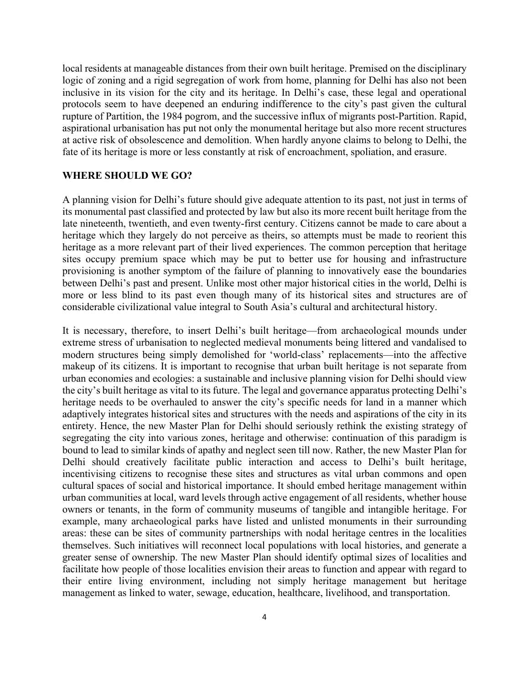local residents at manageable distances from their own built heritage. Premised on the disciplinary logic of zoning and a rigid segregation of work from home, planning for Delhi has also not been inclusive in its vision for the city and its heritage. In Delhi's case, these legal and operational protocols seem to have deepened an enduring indifference to the city's past given the cultural rupture of Partition, the 1984 pogrom, and the successive influx of migrants post-Partition. Rapid, aspirational urbanisation has put not only the monumental heritage but also more recent structures at active risk of obsolescence and demolition. When hardly anyone claims to belong to Delhi, the fate of its heritage is more or less constantly at risk of encroachment, spoliation, and erasure.

#### **WHERE SHOULD WE GO?**

A planning vision for Delhi's future should give adequate attention to its past, not just in terms of its monumental past classified and protected by law but also its more recent built heritage from the late nineteenth, twentieth, and even twenty-first century. Citizens cannot be made to care about a heritage which they largely do not perceive as theirs, so attempts must be made to reorient this heritage as a more relevant part of their lived experiences. The common perception that heritage sites occupy premium space which may be put to better use for housing and infrastructure provisioning is another symptom of the failure of planning to innovatively ease the boundaries between Delhi's past and present. Unlike most other major historical cities in the world, Delhi is more or less blind to its past even though many of its historical sites and structures are of considerable civilizational value integral to South Asia's cultural and architectural history.

It is necessary, therefore, to insert Delhi's built heritage—from archaeological mounds under extreme stress of urbanisation to neglected medieval monuments being littered and vandalised to modern structures being simply demolished for 'world-class' replacements—into the affective makeup of its citizens. It is important to recognise that urban built heritage is not separate from urban economies and ecologies: a sustainable and inclusive planning vision for Delhi should view the city's built heritage as vital to its future. The legal and governance apparatus protecting Delhi's heritage needs to be overhauled to answer the city's specific needs for land in a manner which adaptively integrates historical sites and structures with the needs and aspirations of the city in its entirety. Hence, the new Master Plan for Delhi should seriously rethink the existing strategy of segregating the city into various zones, heritage and otherwise: continuation of this paradigm is bound to lead to similar kinds of apathy and neglect seen till now. Rather, the new Master Plan for Delhi should creatively facilitate public interaction and access to Delhi's built heritage, incentivising citizens to recognise these sites and structures as vital urban commons and open cultural spaces of social and historical importance. It should embed heritage management within urban communities at local, ward levels through active engagement of all residents, whether house owners or tenants, in the form of community museums of tangible and intangible heritage. For example, many archaeological parks have listed and unlisted monuments in their surrounding areas: these can be sites of community partnerships with nodal heritage centres in the localities themselves. Such initiatives will reconnect local populations with local histories, and generate a greater sense of ownership. The new Master Plan should identify optimal sizes of localities and facilitate how people of those localities envision their areas to function and appear with regard to their entire living environment, including not simply heritage management but heritage management as linked to water, sewage, education, healthcare, livelihood, and transportation.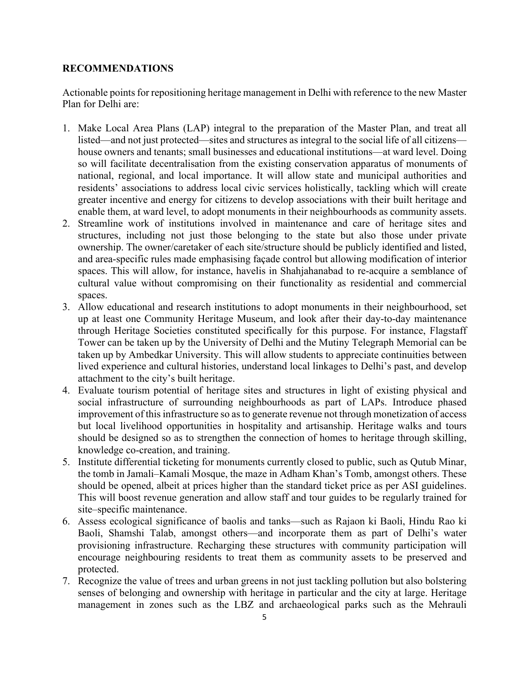#### **RECOMMENDATIONS**

Actionable points for repositioning heritage management in Delhi with reference to the new Master Plan for Delhi are:

- 1. Make Local Area Plans (LAP) integral to the preparation of the Master Plan, and treat all listed—and not just protected—sites and structures as integral to the social life of all citizens house owners and tenants; small businesses and educational institutions—at ward level. Doing so will facilitate decentralisation from the existing conservation apparatus of monuments of national, regional, and local importance. It will allow state and municipal authorities and residents' associations to address local civic services holistically, tackling which will create greater incentive and energy for citizens to develop associations with their built heritage and enable them, at ward level, to adopt monuments in their neighbourhoods as community assets.
- 2. Streamline work of institutions involved in maintenance and care of heritage sites and structures, including not just those belonging to the state but also those under private ownership. The owner/caretaker of each site/structure should be publicly identified and listed, and area-specific rules made emphasising façade control but allowing modification of interior spaces. This will allow, for instance, havelis in Shahjahanabad to re-acquire a semblance of cultural value without compromising on their functionality as residential and commercial spaces.
- 3. Allow educational and research institutions to adopt monuments in their neighbourhood, set up at least one Community Heritage Museum, and look after their day-to-day maintenance through Heritage Societies constituted specifically for this purpose. For instance, Flagstaff Tower can be taken up by the University of Delhi and the Mutiny Telegraph Memorial can be taken up by Ambedkar University. This will allow students to appreciate continuities between lived experience and cultural histories, understand local linkages to Delhi's past, and develop attachment to the city's built heritage.
- 4. Evaluate tourism potential of heritage sites and structures in light of existing physical and social infrastructure of surrounding neighbourhoods as part of LAPs. Introduce phased improvement of this infrastructure so as to generate revenue not through monetization of access but local livelihood opportunities in hospitality and artisanship. Heritage walks and tours should be designed so as to strengthen the connection of homes to heritage through skilling, knowledge co-creation, and training.
- 5. Institute differential ticketing for monuments currently closed to public, such as Qutub Minar, the tomb in Jamali–Kamali Mosque, the maze in Adham Khan's Tomb, amongst others. These should be opened, albeit at prices higher than the standard ticket price as per ASI guidelines. This will boost revenue generation and allow staff and tour guides to be regularly trained for site–specific maintenance.
- 6. Assess ecological significance of baolis and tanks—such as Rajaon ki Baoli, Hindu Rao ki Baoli, Shamshi Talab, amongst others—and incorporate them as part of Delhi's water provisioning infrastructure. Recharging these structures with community participation will encourage neighbouring residents to treat them as community assets to be preserved and protected.
- 7. Recognize the value of trees and urban greens in not just tackling pollution but also bolstering senses of belonging and ownership with heritage in particular and the city at large. Heritage management in zones such as the LBZ and archaeological parks such as the Mehrauli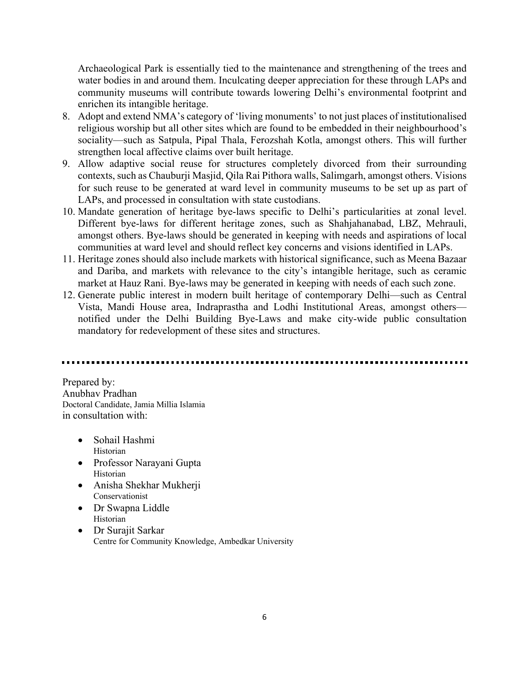Archaeological Park is essentially tied to the maintenance and strengthening of the trees and water bodies in and around them. Inculcating deeper appreciation for these through LAPs and community museums will contribute towards lowering Delhi's environmental footprint and enrichen its intangible heritage.

- 8. Adopt and extend NMA's category of 'living monuments' to not just places of institutionalised religious worship but all other sites which are found to be embedded in their neighbourhood's sociality—such as Satpula, Pipal Thala, Ferozshah Kotla, amongst others. This will further strengthen local affective claims over built heritage.
- 9. Allow adaptive social reuse for structures completely divorced from their surrounding contexts, such as Chauburji Masjid, Qila Rai Pithora walls, Salimgarh, amongst others. Visions for such reuse to be generated at ward level in community museums to be set up as part of LAPs, and processed in consultation with state custodians.
- 10. Mandate generation of heritage bye-laws specific to Delhi's particularities at zonal level. Different bye-laws for different heritage zones, such as Shahjahanabad, LBZ, Mehrauli, amongst others. Bye-laws should be generated in keeping with needs and aspirations of local communities at ward level and should reflect key concerns and visions identified in LAPs.
- 11. Heritage zones should also include markets with historical significance, such as Meena Bazaar and Dariba, and markets with relevance to the city's intangible heritage, such as ceramic market at Hauz Rani. Bye-laws may be generated in keeping with needs of each such zone.
- 12. Generate public interest in modern built heritage of contemporary Delhi—such as Central Vista, Mandi House area, Indraprastha and Lodhi Institutional Areas, amongst others notified under the Delhi Building Bye-Laws and make city-wide public consultation mandatory for redevelopment of these sites and structures.

Prepared by: Anubhav Pradhan Doctoral Candidate, Jamia Millia Islamia in consultation with:

- Sohail Hashmi Historian
- Professor Narayani Gupta Historian
- Anisha Shekhar Mukherji Conservationist
- Dr Swapna Liddle Historian
- Dr Surajit Sarkar Centre for Community Knowledge, Ambedkar University